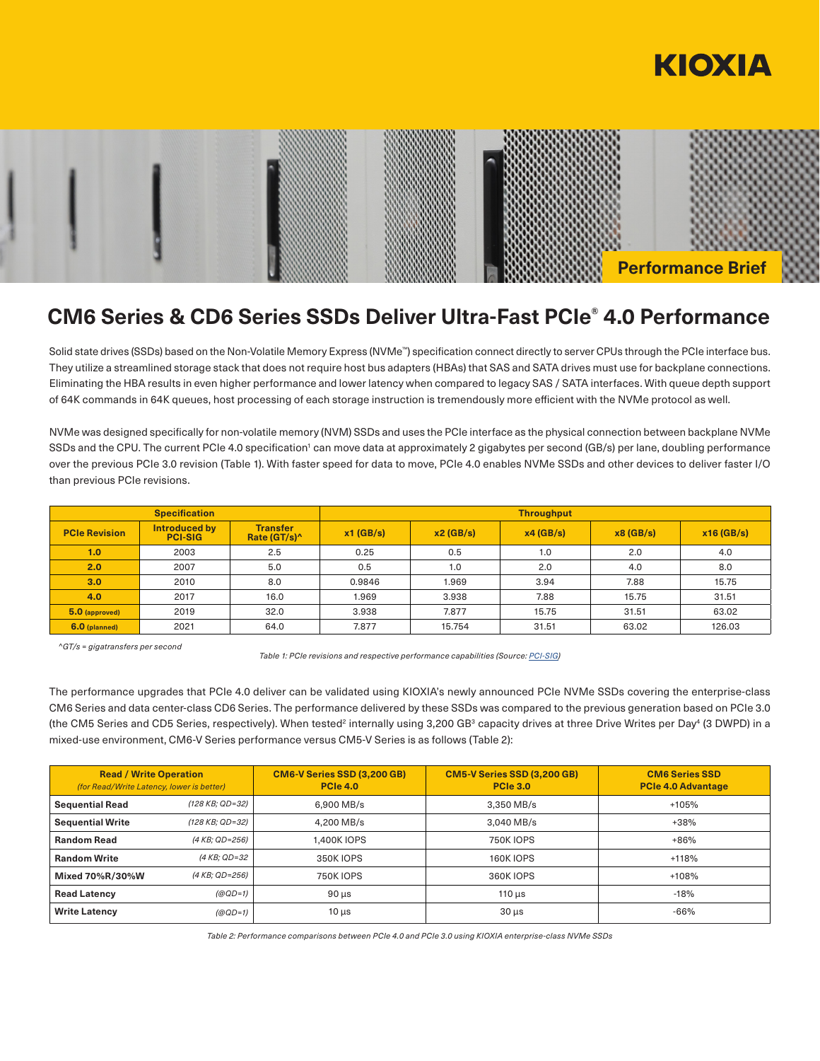



# **CM6 Series & CD6 Series SSDs Deliver Ultra-Fast PCIe® 4.0 Performance**

Solid state drives (SSDs) based on the Non-Volatile Memory Express (NVMe™) specification connect directly to server CPUs through the PCIe interface bus. They utilize a streamlined storage stack that does not require host bus adapters (HBAs) that SAS and SATA drives must use for backplane connections. Eliminating the HBA results in even higher performance and lower latency when compared to legacy SAS / SATA interfaces. With queue depth support of 64K commands in 64K queues, host processing of each storage instruction is tremendously more efficient with the NVMe protocol as well.

NVMe was designed specifically for non-volatile memory (NVM) SSDs and uses the PCIe interface as the physical connection between backplane NVMe SSDs and the CPU. The current PCIe 4.0 specification<sup>1</sup> can move data at approximately 2 gigabytes per second (GB/s) per lane, doubling performance over the previous PCIe 3.0 revision (Table 1). With faster speed for data to move, PCIe 4.0 enables NVMe SSDs and other devices to deliver faster I/O than previous PCIe revisions.

| <b>Specification</b> |                                 |                                             | <b>Throughput</b> |          |          |          |           |
|----------------------|---------------------------------|---------------------------------------------|-------------------|----------|----------|----------|-----------|
| <b>PCIe Revision</b> | Introduced by<br><b>PCI-SIG</b> | <b>Transfer</b><br>Rate (GT/s) <sup>^</sup> | $x1$ (GB/s)       | x2(GB/s) | x4(GB/s) | x8(GB/s) | x16(GB/s) |
| 1.0                  | 2003                            | 2.5                                         | 0.25              | 0.5      | 1.0      | 2.0      | 4.0       |
| 2.0                  | 2007                            | 5.0                                         | 0.5               | 1.0      | 2.0      | 4.0      | 8.0       |
| 3.0 <sub>2</sub>     | 2010                            | 8.0                                         | 0.9846            | 1.969    | 3.94     | 7.88     | 15.75     |
| 4.0                  | 2017                            | 16.0                                        | 1.969             | 3.938    | 7.88     | 15.75    | 31.51     |
| 5.0 (approved)       | 2019                            | 32.0                                        | 3.938             | 7.877    | 15.75    | 31.51    | 63.02     |
| 6.0 (planned)        | 2021                            | 64.0                                        | 7.877             | 15.754   | 31.51    | 63.02    | 126.03    |

*^GT/s = gigatransfers per second* 

*Table 1: PCIe revisions and respective performance capabilities (Source: [PCI-SIG\)](https://pcisig.com/)*

The performance upgrades that PCIe 4.0 deliver can be validated using KIOXIA's newly announced PCIe NVMe SSDs covering the enterprise-class CM6 Series and data center-class CD6 Series. The performance delivered by these SSDs was compared to the previous generation based on PCIe 3.0 (the CM5 Series and CD5 Series, respectively). When tested<sup>2</sup> internally using 3,200 GB<sup>3</sup> capacity drives at three Drive Writes per Day<sup>4</sup> (3 DWPD) in a mixed-use environment, CM6-V Series performance versus CM5-V Series is as follows (Table 2):

| <b>Read / Write Operation</b><br>(for Read/Write Latency, lower is better) |                 | <b>CM6-V Series SSD (3,200 GB)</b><br><b>PCIe 4.0</b> | <b>CM5-V Series SSD (3,200 GB)</b><br><b>PCIe 3.0</b> | <b>CM6 Series SSD</b><br><b>PCIe 4.0 Advantage</b> |
|----------------------------------------------------------------------------|-----------------|-------------------------------------------------------|-------------------------------------------------------|----------------------------------------------------|
| <b>Sequential Read</b>                                                     | (128 KB: QD=32) | 6.900 MB/s                                            | 3.350 MB/s                                            | +105%                                              |
| <b>Sequential Write</b>                                                    | (128 KB: QD=32) | 4.200 MB/s                                            | 3.040 MB/s                                            | $+38%$                                             |
| <b>Random Read</b>                                                         | (4 KB: QD=256)  | 1.400K IOPS                                           | <b>750K IOPS</b>                                      | $+86%$                                             |
| <b>Random Write</b>                                                        | (4 KB: QD=32    | 350K IOPS                                             | <b>160K IOPS</b>                                      | $+118%$                                            |
| Mixed 70%R/30%W                                                            | (4 KB; QD=256)  | <b>750K IOPS</b>                                      | 360K IOPS                                             | $+108%$                                            |
| <b>Read Latency</b>                                                        | $(QQD=1)$       | $90 \mu s$                                            | $110 \mu s$                                           | $-18%$                                             |
| <b>Write Latency</b>                                                       | $(QQD=1)$       | $10 \mu s$                                            | $30 \mu s$                                            | $-66%$                                             |

*Table 2: Performance comparisons between PCIe 4.0 and PCIe 3.0 using KIOXIA enterprise-class NVMe SSDs*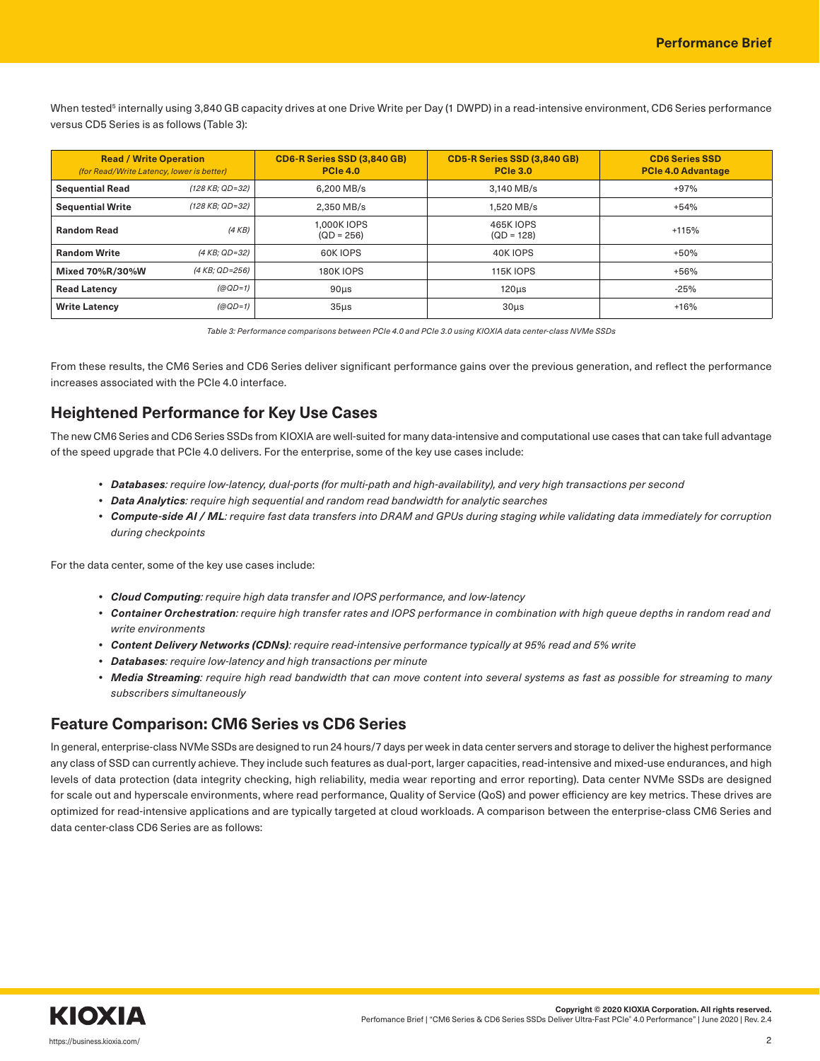When tested<sup>s</sup> internally using 3,840 GB capacity drives at one Drive Write per Day (1 DWPD) in a read-intensive environment, CD6 Series performance versus CD5 Series is as follows (Table 3):

| <b>Read / Write Operation</b><br>(for Read/Write Latency, lower is better) |                 | <b>CD6-R Series SSD (3,840 GB)</b><br><b>PCIe 4.0</b> | <b>CD5-R Series SSD (3,840 GB)</b><br><b>PCIe 3.0</b> | <b>CD6 Series SSD</b><br><b>PCIe 4.0 Advantage</b> |
|----------------------------------------------------------------------------|-----------------|-------------------------------------------------------|-------------------------------------------------------|----------------------------------------------------|
| <b>Sequential Read</b>                                                     | (128 KB: QD=32) | 6.200 MB/s                                            | 3.140 MB/s                                            | $+97%$                                             |
| <b>Sequential Write</b>                                                    | (128 KB: QD=32) | 2.350 MB/s                                            | 1.520 MB/s                                            | $+54%$                                             |
| <b>Random Read</b>                                                         | (4KB)           | 1.000K IOPS<br>$(QD = 256)$                           | <b>465K IOPS</b><br>$(QD = 128)$                      | +115%                                              |
| <b>Random Write</b>                                                        | (4 KB: QD=32)   | 60K IOPS                                              | 40K IOPS                                              | $+50%$                                             |
| Mixed 70%R/30%W                                                            | (4 KB; QD=256)  | <b>180K IOPS</b>                                      | <b>115K IOPS</b>                                      | $+56%$                                             |
| <b>Read Latency</b>                                                        | $(QQD=1)$       | 90 <sub>µ</sub>                                       | 120 <sub>µ</sub> s                                    | $-25%$                                             |
| <b>Write Latency</b>                                                       | $(QQD=1)$       | $35\mus$                                              | 30 <sub>µ</sub> s                                     | $+16%$                                             |

*Table 3: Performance comparisons between PCIe 4.0 and PCIe 3.0 using KIOXIA data center-class NVMe SSDs*

From these results, the CM6 Series and CD6 Series deliver significant performance gains over the previous generation, and reflect the performance increases associated with the PCIe 4.0 interface.

## **Heightened Performance for Key Use Cases**

The new CM6 Series and CD6 Series SSDs from KIOXIA are well-suited for many data-intensive and computational use cases that can take full advantage of the speed upgrade that PCIe 4.0 delivers. For the enterprise, some of the key use cases include:

- *• Databases: require low-latency, dual-ports (for multi-path and high-availability), and very high transactions per second*
- *• Data Analytics: require high sequential and random read bandwidth for analytic searches*
- *• Compute-side AI / ML: require fast data transfers into DRAM and GPUs during staging while validating data immediately for corruption during checkpoints*

For the data center, some of the key use cases include:

- *• Cloud Computing: require high data transfer and IOPS performance, and low-latency*
- Container Orchestration: require high transfer rates and IOPS performance in combination with high queue depths in random read and *write environments*
- *• Content Delivery Networks (CDNs): require read-intensive performance typically at 95% read and 5% write*
- *• Databases: require low-latency and high transactions per minute*
- Media Streaming: require high read bandwidth that can move content into several systems as fast as possible for streaming to many *subscribers simultaneously*

### **Feature Comparison: CM6 Series vs CD6 Series**

In general, enterprise-class NVMe SSDs are designed to run 24 hours/7 days per week in data center servers and storage to deliver the highest performance any class of SSD can currently achieve. They include such features as dual-port, larger capacities, read-intensive and mixed-use endurances, and high levels of data protection (data integrity checking, high reliability, media wear reporting and error reporting). Data center NVMe SSDs are designed for scale out and hyperscale environments, where read performance, Quality of Service (QoS) and power efficiency are key metrics. These drives are optimized for read-intensive applications and are typically targeted at cloud workloads. A comparison between the enterprise-class CM6 Series and data center-class CD6 Series are as follows: